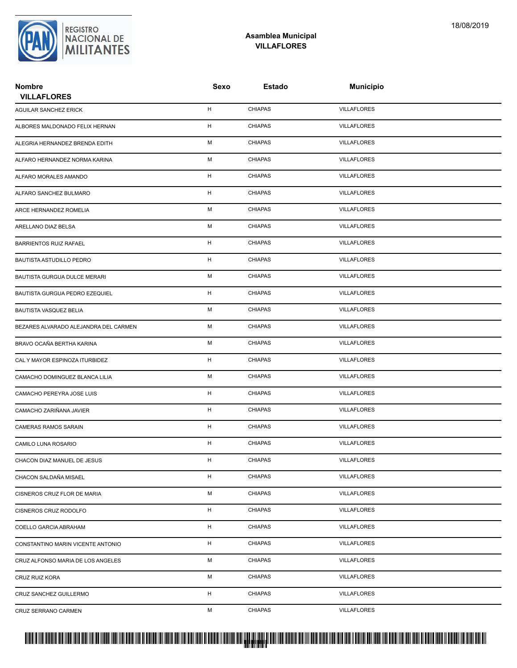

#### **Asamblea Municipal VILLAFLORES**

| <b>Nombre</b><br><b>VILLAFLORES</b>   | <b>Sexo</b> | <b>Estado</b>  | <b>Municipio</b>   |
|---------------------------------------|-------------|----------------|--------------------|
| AGUILAR SANCHEZ ERICK                 | H           | <b>CHIAPAS</b> | <b>VILLAFLORES</b> |
| ALBORES MALDONADO FELIX HERNAN        | н           | <b>CHIAPAS</b> | <b>VILLAFLORES</b> |
| ALEGRIA HERNANDEZ BRENDA EDITH        | М           | <b>CHIAPAS</b> | <b>VILLAFLORES</b> |
| ALFARO HERNANDEZ NORMA KARINA         | М           | <b>CHIAPAS</b> | <b>VILLAFLORES</b> |
| ALFARO MORALES AMANDO                 | H           | <b>CHIAPAS</b> | <b>VILLAFLORES</b> |
| ALFARO SANCHEZ BULMARO                | н           | <b>CHIAPAS</b> | <b>VILLAFLORES</b> |
| ARCE HERNANDEZ ROMELIA                | М           | <b>CHIAPAS</b> | <b>VILLAFLORES</b> |
| ARELLANO DIAZ BELSA                   | М           | <b>CHIAPAS</b> | <b>VILLAFLORES</b> |
| <b>BARRIENTOS RUIZ RAFAEL</b>         | н           | <b>CHIAPAS</b> | <b>VILLAFLORES</b> |
| <b>BAUTISTA ASTUDILLO PEDRO</b>       | H           | <b>CHIAPAS</b> | <b>VILLAFLORES</b> |
| BAUTISTA GURGUA DULCE MERARI          | М           | <b>CHIAPAS</b> | <b>VILLAFLORES</b> |
| BAUTISTA GURGUA PEDRO EZEQUIEL        | н           | <b>CHIAPAS</b> | <b>VILLAFLORES</b> |
| <b>BAUTISTA VASQUEZ BELIA</b>         | М           | <b>CHIAPAS</b> | <b>VILLAFLORES</b> |
| BEZARES ALVARADO ALEJANDRA DEL CARMEN | М           | <b>CHIAPAS</b> | <b>VILLAFLORES</b> |
| BRAVO OCAÑA BERTHA KARINA             | М           | <b>CHIAPAS</b> | <b>VILLAFLORES</b> |
| CAL Y MAYOR ESPINOZA ITURBIDEZ        | H           | <b>CHIAPAS</b> | <b>VILLAFLORES</b> |
| CAMACHO DOMINGUEZ BLANCA LILIA        | М           | <b>CHIAPAS</b> | <b>VILLAFLORES</b> |
| CAMACHO PEREYRA JOSE LUIS             | H           | <b>CHIAPAS</b> | <b>VILLAFLORES</b> |
| CAMACHO ZARIÑANA JAVIER               | H           | <b>CHIAPAS</b> | <b>VILLAFLORES</b> |
| CAMERAS RAMOS SARAIN                  | H           | <b>CHIAPAS</b> | <b>VILLAFLORES</b> |
| CAMILO LUNA ROSARIO                   | H           | <b>CHIAPAS</b> | <b>VILLAFLORES</b> |
| CHACON DIAZ MANUEL DE JESUS           | н           | CHIAPAS        | <b>VILLAFLORES</b> |
| CHACON SALDAÑA MISAEL                 | Н.          | <b>CHIAPAS</b> | <b>VILLAFLORES</b> |
| CISNEROS CRUZ FLOR DE MARIA           | М           | <b>CHIAPAS</b> | <b>VILLAFLORES</b> |
| CISNEROS CRUZ RODOLFO                 | H           | <b>CHIAPAS</b> | <b>VILLAFLORES</b> |
| COELLO GARCIA ABRAHAM                 | Н.          | <b>CHIAPAS</b> | <b>VILLAFLORES</b> |
| CONSTANTINO MARIN VICENTE ANTONIO     | H           | <b>CHIAPAS</b> | <b>VILLAFLORES</b> |
| CRUZ ALFONSO MARIA DE LOS ANGELES     | М           | <b>CHIAPAS</b> | <b>VILLAFLORES</b> |
| CRUZ RUIZ KORA                        | М           | <b>CHIAPAS</b> | <b>VILLAFLORES</b> |
| CRUZ SANCHEZ GUILLERMO                | H           | <b>CHIAPAS</b> | <b>VILLAFLORES</b> |
| CRUZ SERRANO CARMEN                   | М           | <b>CHIAPAS</b> | <b>VILLAFLORES</b> |

#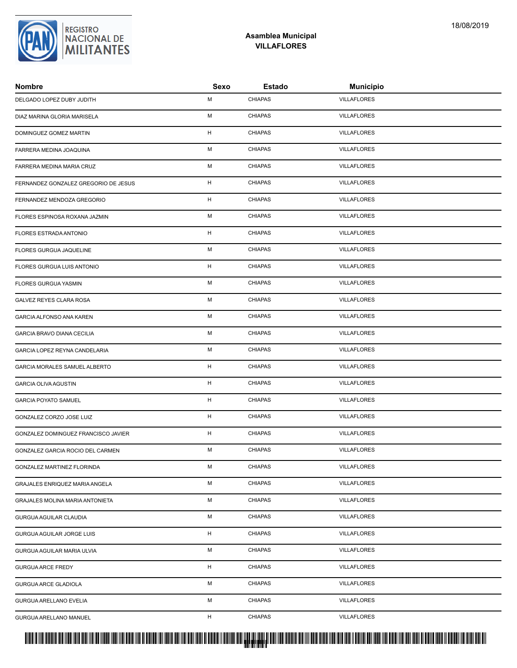| <b>Nombre</b>                        | Sexo        | <b>Estado</b>  | <b>Municipio</b>   |  |
|--------------------------------------|-------------|----------------|--------------------|--|
| DELGADO LOPEZ DUBY JUDITH            | М           | <b>CHIAPAS</b> | <b>VILLAFLORES</b> |  |
| DIAZ MARINA GLORIA MARISELA          | М           | <b>CHIAPAS</b> | <b>VILLAFLORES</b> |  |
| DOMINGUEZ GOMEZ MARTIN               | $\mathsf H$ | <b>CHIAPAS</b> | <b>VILLAFLORES</b> |  |
| FARRERA MEDINA JOAQUINA              | М           | <b>CHIAPAS</b> | VILLAFLORES        |  |
| FARRERA MEDINA MARIA CRUZ            | М           | <b>CHIAPAS</b> | VILLAFLORES        |  |
| FERNANDEZ GONZALEZ GREGORIO DE JESUS | H           | <b>CHIAPAS</b> | <b>VILLAFLORES</b> |  |
| FERNANDEZ MENDOZA GREGORIO           | H           | <b>CHIAPAS</b> | <b>VILLAFLORES</b> |  |
| FLORES ESPINOSA ROXANA JAZMIN        | М           | <b>CHIAPAS</b> | <b>VILLAFLORES</b> |  |
| FLORES ESTRADA ANTONIO               | H           | <b>CHIAPAS</b> | VILLAFLORES        |  |
| FLORES GURGUA JAQUELINE              | М           | <b>CHIAPAS</b> | VILLAFLORES        |  |
| FLORES GURGUA LUIS ANTONIO           | H           | <b>CHIAPAS</b> | VILLAFLORES        |  |
| FLORES GURGUA YASMIN                 | М           | <b>CHIAPAS</b> | <b>VILLAFLORES</b> |  |
| GALVEZ REYES CLARA ROSA              | М           | <b>CHIAPAS</b> | VILLAFLORES        |  |
| GARCIA ALFONSO ANA KAREN             | M           | <b>CHIAPAS</b> | <b>VILLAFLORES</b> |  |
| GARCIA BRAVO DIANA CECILIA           | М           | <b>CHIAPAS</b> | VILLAFLORES        |  |
| GARCIA LOPEZ REYNA CANDELARIA        | М           | <b>CHIAPAS</b> | <b>VILLAFLORES</b> |  |
| GARCIA MORALES SAMUEL ALBERTO        | H           | <b>CHIAPAS</b> | VILLAFLORES        |  |
| <b>GARCIA OLIVA AGUSTIN</b>          | н           | <b>CHIAPAS</b> | <b>VILLAFLORES</b> |  |
| <b>GARCIA POYATO SAMUEL</b>          | H           | <b>CHIAPAS</b> | VILLAFLORES        |  |
| GONZALEZ CORZO JOSE LUIZ             | H           | <b>CHIAPAS</b> | VILLAFLORES        |  |
| GONZALEZ DOMINGUEZ FRANCISCO JAVIER  | H           | <b>CHIAPAS</b> | VILLAFLORES        |  |
| GONZALEZ GARCIA ROCIO DEL CARMEN     | М           | <b>CHIAPAS</b> | VILLAFLORES        |  |
| GONZALEZ MARTINEZ FLORINDA           | М           | CHIAPAS        | <b>VILLAFLORES</b> |  |
| GRAJALES ENRIQUEZ MARIA ANGELA       | М           | <b>CHIAPAS</b> | VILLAFLORES        |  |
| GRAJALES MOLINA MARIA ANTONIETA      | М           | <b>CHIAPAS</b> | VILLAFLORES        |  |
| GURGUA AGUILAR CLAUDIA               | М           | <b>CHIAPAS</b> | VILLAFLORES        |  |
| GURGUA AGUILAR JORGE LUIS            | H           | <b>CHIAPAS</b> | <b>VILLAFLORES</b> |  |
| GURGUA AGUILAR MARIA ULVIA           | М           | <b>CHIAPAS</b> | VILLAFLORES        |  |
| <b>GURGUA ARCE FREDY</b>             | Н.          | <b>CHIAPAS</b> | VILLAFLORES        |  |
| GURGUA ARCE GLADIOLA                 | М           | <b>CHIAPAS</b> | VILLAFLORES        |  |
| GURGUA ARELLANO EVELIA               | М           | <b>CHIAPAS</b> | VILLAFLORES        |  |
| GURGUA ARELLANO MANUEL               | н           | <b>CHIAPAS</b> | <b>VILLAFLORES</b> |  |
|                                      |             |                |                    |  |

**Asamblea Municipal VILLAFLORES**

**REGISTRO** 

NACIONAL DE<br>MILITANTES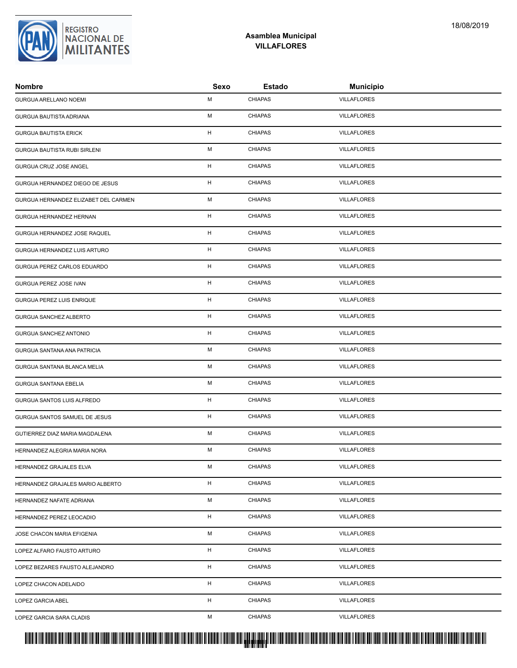| <b>Nombre</b>                        | Sexo | <b>Estado</b>  | <b>Municipio</b>   |  |
|--------------------------------------|------|----------------|--------------------|--|
| GURGUA ARELLANO NOEMI                | М    | <b>CHIAPAS</b> | <b>VILLAFLORES</b> |  |
| GURGUA BAUTISTA ADRIANA              | М    | <b>CHIAPAS</b> | <b>VILLAFLORES</b> |  |
| <b>GURGUA BAUTISTA ERICK</b>         | H    | <b>CHIAPAS</b> | <b>VILLAFLORES</b> |  |
| GURGUA BAUTISTA RUBI SIRLENI         | М    | <b>CHIAPAS</b> | <b>VILLAFLORES</b> |  |
| GURGUA CRUZ JOSE ANGEL               | H    | <b>CHIAPAS</b> | <b>VILLAFLORES</b> |  |
| GURGUA HERNANDEZ DIEGO DE JESUS      | H    | <b>CHIAPAS</b> | <b>VILLAFLORES</b> |  |
| GURGUA HERNANDEZ ELIZABET DEL CARMEN | М    | <b>CHIAPAS</b> | <b>VILLAFLORES</b> |  |
| GURGUA HERNANDEZ HERNAN              | H    | <b>CHIAPAS</b> | <b>VILLAFLORES</b> |  |
| GURGUA HERNANDEZ JOSE RAQUEL         | H    | <b>CHIAPAS</b> | <b>VILLAFLORES</b> |  |
| GURGUA HERNANDEZ LUIS ARTURO         | H    | <b>CHIAPAS</b> | <b>VILLAFLORES</b> |  |
| GURGUA PEREZ CARLOS EDUARDO          | H    | <b>CHIAPAS</b> | <b>VILLAFLORES</b> |  |
| GURGUA PEREZ JOSE IVAN               | Н.   | <b>CHIAPAS</b> | <b>VILLAFLORES</b> |  |
| GURGUA PEREZ LUIS ENRIQUE            | H    | <b>CHIAPAS</b> | <b>VILLAFLORES</b> |  |
| GURGUA SANCHEZ ALBERTO               | H    | <b>CHIAPAS</b> | <b>VILLAFLORES</b> |  |
| GURGUA SANCHEZ ANTONIO               | н    | <b>CHIAPAS</b> | <b>VILLAFLORES</b> |  |
| GURGUA SANTANA ANA PATRICIA          | М    | <b>CHIAPAS</b> | <b>VILLAFLORES</b> |  |
| GURGUA SANTANA BLANCA MELIA          | М    | <b>CHIAPAS</b> | <b>VILLAFLORES</b> |  |
| <b>GURGUA SANTANA EBELIA</b>         | М    | <b>CHIAPAS</b> | <b>VILLAFLORES</b> |  |
| GURGUA SANTOS LUIS ALFREDO           | H    | <b>CHIAPAS</b> | <b>VILLAFLORES</b> |  |
| GURGUA SANTOS SAMUEL DE JESUS        | H    | <b>CHIAPAS</b> | <b>VILLAFLORES</b> |  |
| GUTIERREZ DIAZ MARIA MAGDALENA       | М    | <b>CHIAPAS</b> | <b>VILLAFLORES</b> |  |
| HERNANDEZ ALEGRIA MARIA NORA         | М    | <b>CHIAPAS</b> | <b>VILLAFLORES</b> |  |
| HERNANDEZ GRAJALES ELVA              | м    | <b>CHIAPAS</b> | <b>VILLAFLORES</b> |  |
| HERNANDEZ GRAJALES MARIO ALBERTO     | H    | <b>CHIAPAS</b> | <b>VILLAFLORES</b> |  |
| HERNANDEZ NAFATE ADRIANA             | М    | <b>CHIAPAS</b> | <b>VILLAFLORES</b> |  |
| HERNANDEZ PEREZ LEOCADIO             | H    | <b>CHIAPAS</b> | <b>VILLAFLORES</b> |  |
| JOSE CHACON MARIA EFIGENIA           | М    | <b>CHIAPAS</b> | <b>VILLAFLORES</b> |  |
| LOPEZ ALFARO FAUSTO ARTURO           | н    | <b>CHIAPAS</b> | <b>VILLAFLORES</b> |  |
| LOPEZ BEZARES FAUSTO ALEJANDRO       | H    | <b>CHIAPAS</b> | <b>VILLAFLORES</b> |  |
| LOPEZ CHACON ADELAIDO                | H    | <b>CHIAPAS</b> | <b>VILLAFLORES</b> |  |
| LOPEZ GARCIA ABEL                    | H    | <b>CHIAPAS</b> | <b>VILLAFLORES</b> |  |
| LOPEZ GARCIA SARA CLADIS             | М    | <b>CHIAPAS</b> | <b>VILLAFLORES</b> |  |
|                                      |      |                |                    |  |

### **Asamblea Municipal VILLAFLORES**

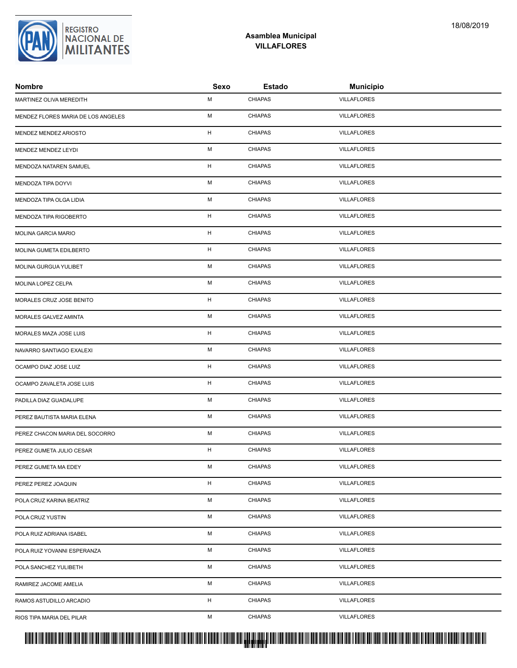| MARTINEZ OLIVA MEREDITH            | M           | <b>CHIAPAS</b> | <b>VILLAFLORES</b> |  |
|------------------------------------|-------------|----------------|--------------------|--|
| MENDEZ FLORES MARIA DE LOS ANGELES | М           | <b>CHIAPAS</b> | <b>VILLAFLORES</b> |  |
| MENDEZ MENDEZ ARIOSTO              | H           | <b>CHIAPAS</b> | <b>VILLAFLORES</b> |  |
| MENDEZ MENDEZ LEYDI                | М           | <b>CHIAPAS</b> | <b>VILLAFLORES</b> |  |
| MENDOZA NATAREN SAMUEL             | H           | <b>CHIAPAS</b> | <b>VILLAFLORES</b> |  |
| MENDOZA TIPA DOYVI                 | М           | <b>CHIAPAS</b> | <b>VILLAFLORES</b> |  |
| MENDOZA TIPA OLGA LIDIA            | М           | <b>CHIAPAS</b> | <b>VILLAFLORES</b> |  |
| MENDOZA TIPA RIGOBERTO             | H           | <b>CHIAPAS</b> | <b>VILLAFLORES</b> |  |
| MOLINA GARCIA MARIO                | Н           | <b>CHIAPAS</b> | <b>VILLAFLORES</b> |  |
| MOLINA GUMETA EDILBERTO            | $\mathsf H$ | <b>CHIAPAS</b> | <b>VILLAFLORES</b> |  |
| MOLINA GURGUA YULIBET              | М           | <b>CHIAPAS</b> | <b>VILLAFLORES</b> |  |
| MOLINA LOPEZ CELPA                 | М           | <b>CHIAPAS</b> | <b>VILLAFLORES</b> |  |
| MORALES CRUZ JOSE BENITO           | H           | <b>CHIAPAS</b> | <b>VILLAFLORES</b> |  |
| MORALES GALVEZ AMINTA              | М           | <b>CHIAPAS</b> | <b>VILLAFLORES</b> |  |
| MORALES MAZA JOSE LUIS             | H           | <b>CHIAPAS</b> | <b>VILLAFLORES</b> |  |
| NAVARRO SANTIAGO EXALEXI           | М           | <b>CHIAPAS</b> | <b>VILLAFLORES</b> |  |
| OCAMPO DIAZ JOSE LUIZ              | H           | <b>CHIAPAS</b> | <b>VILLAFLORES</b> |  |
| OCAMPO ZAVALETA JOSE LUIS          | H           | <b>CHIAPAS</b> | <b>VILLAFLORES</b> |  |
| PADILLA DIAZ GUADALUPE             | М           | <b>CHIAPAS</b> | <b>VILLAFLORES</b> |  |
| PEREZ BAUTISTA MARIA ELENA         | М           | <b>CHIAPAS</b> | <b>VILLAFLORES</b> |  |
| PEREZ CHACON MARIA DEL SOCORRO     | М           | <b>CHIAPAS</b> | <b>VILLAFLORES</b> |  |
| PEREZ GUMETA JULIO CESAR           | H           | <b>CHIAPAS</b> | <b>VILLAFLORES</b> |  |
| PEREZ GUMETA MA EDEY               | М           | CHIAPAS        | <b>VILLAFLORES</b> |  |
| PEREZ PEREZ JOAQUIN                | H           | <b>CHIAPAS</b> | <b>VILLAFLORES</b> |  |
| POLA CRUZ KARINA BEATRIZ           | М           | <b>CHIAPAS</b> | <b>VILLAFLORES</b> |  |
| POLA CRUZ YUSTIN                   | М           | <b>CHIAPAS</b> | <b>VILLAFLORES</b> |  |
| POLA RUIZ ADRIANA ISABEL           | М           | <b>CHIAPAS</b> | <b>VILLAFLORES</b> |  |
| POLA RUIZ YOVANNI ESPERANZA        | М           | <b>CHIAPAS</b> | <b>VILLAFLORES</b> |  |
| POLA SANCHEZ YULIBETH              | М           | <b>CHIAPAS</b> | <b>VILLAFLORES</b> |  |
| RAMIREZ JACOME AMELIA              | М           | <b>CHIAPAS</b> | <b>VILLAFLORES</b> |  |
| RAMOS ASTUDILLO ARCADIO            | H           | <b>CHIAPAS</b> | <b>VILLAFLORES</b> |  |
| RIOS TIPA MARIA DEL PILAR          | М           | <b>CHIAPAS</b> | <b>VILLAFLORES</b> |  |



**Nombre Sexo Estado Municipio**

#### **Asamblea Municipal VILLAFLORES**



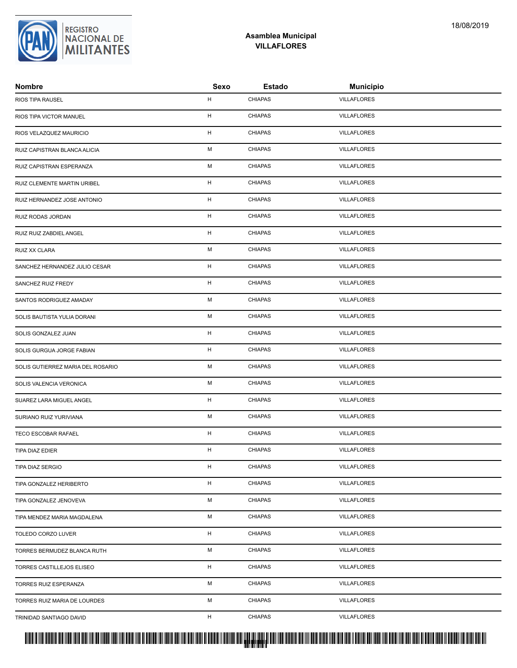| <b>Nombre</b>                     | Sexo        | <b>Estado</b>  | <b>Municipio</b>   |
|-----------------------------------|-------------|----------------|--------------------|
| RIOS TIPA RAUSEL                  | н           | <b>CHIAPAS</b> | <b>VILLAFLORES</b> |
| RIOS TIPA VICTOR MANUEL           | н           | <b>CHIAPAS</b> | <b>VILLAFLORES</b> |
| RIOS VELAZQUEZ MAURICIO           | H           | <b>CHIAPAS</b> | <b>VILLAFLORES</b> |
| RUIZ CAPISTRAN BLANCA ALICIA      | M           | <b>CHIAPAS</b> | <b>VILLAFLORES</b> |
| RUIZ CAPISTRAN ESPERANZA          | М           | <b>CHIAPAS</b> | <b>VILLAFLORES</b> |
| RUIZ CLEMENTE MARTIN URIBEL       | H           | <b>CHIAPAS</b> | <b>VILLAFLORES</b> |
| RUIZ HERNANDEZ JOSE ANTONIO       | н           | <b>CHIAPAS</b> | <b>VILLAFLORES</b> |
| RUIZ RODAS JORDAN                 | $\mathsf H$ | <b>CHIAPAS</b> | <b>VILLAFLORES</b> |
| RUIZ RUIZ ZABDIEL ANGEL           | $\mathsf H$ | <b>CHIAPAS</b> | <b>VILLAFLORES</b> |
| RUIZ XX CLARA                     | М           | <b>CHIAPAS</b> | <b>VILLAFLORES</b> |
| SANCHEZ HERNANDEZ JULIO CESAR     | H           | <b>CHIAPAS</b> | <b>VILLAFLORES</b> |
| SANCHEZ RUIZ FREDY                | н           | <b>CHIAPAS</b> | <b>VILLAFLORES</b> |
| SANTOS RODRIGUEZ AMADAY           | M           | <b>CHIAPAS</b> | <b>VILLAFLORES</b> |
| SOLIS BAUTISTA YULIA DORANI       | M           | <b>CHIAPAS</b> | <b>VILLAFLORES</b> |
| SOLIS GONZALEZ JUAN               | н           | <b>CHIAPAS</b> | <b>VILLAFLORES</b> |
| SOLIS GURGUA JORGE FABIAN         | н           | <b>CHIAPAS</b> | <b>VILLAFLORES</b> |
| SOLIS GUTIERREZ MARIA DEL ROSARIO | M           | <b>CHIAPAS</b> | <b>VILLAFLORES</b> |
| SOLIS VALENCIA VERONICA           | М           | <b>CHIAPAS</b> | <b>VILLAFLORES</b> |
| SUAREZ LARA MIGUEL ANGEL          | н           | <b>CHIAPAS</b> | <b>VILLAFLORES</b> |
| SURIANO RUIZ YURIVIANA            | M           | <b>CHIAPAS</b> | <b>VILLAFLORES</b> |
| TECO ESCOBAR RAFAEL               | H           | <b>CHIAPAS</b> | <b>VILLAFLORES</b> |
| TIPA DIAZ EDIER                   | н           | <b>CHIAPAS</b> | <b>VILLAFLORES</b> |
| <b>TIPA DIAZ SERGIO</b>           | H           | CHIAPAS        | <b>VILLAFLORES</b> |
| TIPA GONZALEZ HERIBERTO           | H           | <b>CHIAPAS</b> | <b>VILLAFLORES</b> |
| TIPA GONZALEZ JENOVEVA            | М           | <b>CHIAPAS</b> | <b>VILLAFLORES</b> |
| TIPA MENDEZ MARIA MAGDALENA       | М           | <b>CHIAPAS</b> | <b>VILLAFLORES</b> |
| TOLEDO CORZO LUVER                | н           | <b>CHIAPAS</b> | <b>VILLAFLORES</b> |
| TORRES BERMUDEZ BLANCA RUTH       | М           | <b>CHIAPAS</b> | <b>VILLAFLORES</b> |
| TORRES CASTILLEJOS ELISEO         | н           | <b>CHIAPAS</b> | <b>VILLAFLORES</b> |
| TORRES RUIZ ESPERANZA             | М           | <b>CHIAPAS</b> | <b>VILLAFLORES</b> |
| TORRES RUIZ MARIA DE LOURDES      | М           | <b>CHIAPAS</b> | <b>VILLAFLORES</b> |
| TRINIDAD SANTIAGO DAVID           | н           | <b>CHIAPAS</b> | <b>VILLAFLORES</b> |



**REGISTRO NACIONAL DE MILITANTES** 

#### **Asamblea Municipal VILLAFLORES**